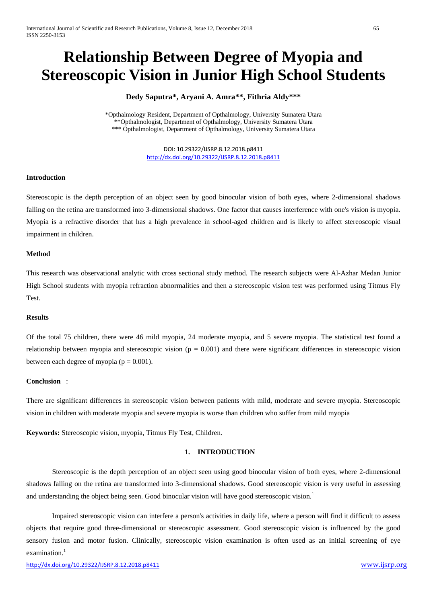# **Relationship Between Degree of Myopia and Stereoscopic Vision in Junior High School Students**

# **Dedy Saputra\*, Aryani A. Amra\*\*, Fithria Aldy\*\*\***

\*Opthalmology Resident, Department of Opthalmology, University Sumatera Utara \*\*Opthalmologist, Department of Opthalmology, University Sumatera Utara \*\*\* Opthalmologist, Department of Opthalmology, University Sumatera Utara

> DOI: 10.29322/IJSRP.8.12.2018.p8411 <http://dx.doi.org/10.29322/IJSRP.8.12.2018.p8411>

## **Introduction**

Stereoscopic is the depth perception of an object seen by good binocular vision of both eyes, where 2-dimensional shadows falling on the retina are transformed into 3-dimensional shadows. One factor that causes interference with one's vision is myopia. Myopia is a refractive disorder that has a high prevalence in school-aged children and is likely to affect stereoscopic visual impairment in children.

## **Method**

This research was observational analytic with cross sectional study method. The research subjects were Al-Azhar Medan Junior High School students with myopia refraction abnormalities and then a stereoscopic vision test was performed using Titmus Fly Test.

### **Results**

Of the total 75 children, there were 46 mild myopia, 24 moderate myopia, and 5 severe myopia. The statistical test found a relationship between myopia and stereoscopic vision ( $p = 0.001$ ) and there were significant differences in stereoscopic vision between each degree of myopia ( $p = 0.001$ ).

### **Conclusion** :

There are significant differences in stereoscopic vision between patients with mild, moderate and severe myopia. Stereoscopic vision in children with moderate myopia and severe myopia is worse than children who suffer from mild myopia

**Keywords:** Stereoscopic vision, myopia, Titmus Fly Test, Children.

# **1. INTRODUCTION**

Stereoscopic is the depth perception of an object seen using good binocular vision of both eyes, where 2-dimensional shadows falling on the retina are transformed into 3-dimensional shadows. Good stereoscopic vision is very useful in assessing and understanding the object being seen. Good binocular vision will have good stereoscopic vision.<sup>1</sup>

Impaired stereoscopic vision can interfere a person's activities in daily life, where a person will find it difficult to assess objects that require good three-dimensional or stereoscopic assessment. Good stereoscopic vision is influenced by the good sensory fusion and motor fusion. Clinically, stereoscopic vision examination is often used as an initial screening of eye examination.<sup>1</sup>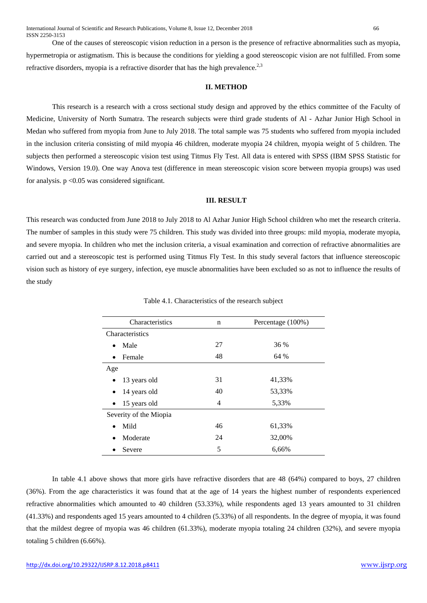One of the causes of stereoscopic vision reduction in a person is the presence of refractive abnormalities such as myopia, hypermetropia or astigmatism. This is because the conditions for yielding a good stereoscopic vision are not fulfilled. From some refractive disorders, myopia is a refractive disorder that has the high prevalence.<sup>2,3</sup>

## **II. METHOD**

This research is a research with a cross sectional study design and approved by the ethics committee of the Faculty of Medicine, University of North Sumatra. The research subjects were third grade students of Al - Azhar Junior High School in Medan who suffered from myopia from June to July 2018. The total sample was 75 students who suffered from myopia included in the inclusion criteria consisting of mild myopia 46 children, moderate myopia 24 children, myopia weight of 5 children. The subjects then performed a stereoscopic vision test using Titmus Fly Test. All data is entered with SPSS (IBM SPSS Statistic for Windows, Version 19.0). One way Anova test (difference in mean stereoscopic vision score between myopia groups) was used for analysis.  $p \leq 0.05$  was considered significant.

## **III. RESULT**

This research was conducted from June 2018 to July 2018 to Al Azhar Junior High School children who met the research criteria. The number of samples in this study were 75 children. This study was divided into three groups: mild myopia, moderate myopia, and severe myopia. In children who met the inclusion criteria, a visual examination and correction of refractive abnormalities are carried out and a stereoscopic test is performed using Titmus Fly Test. In this study several factors that influence stereoscopic vision such as history of eye surgery, infection, eye muscle abnormalities have been excluded so as not to influence the results of the study

| Characteristics           | n          | Percentage (100%) |  |  |
|---------------------------|------------|-------------------|--|--|
| Characteristics           |            |                   |  |  |
| Male<br>$\bullet$         | 27<br>36 % |                   |  |  |
| Female<br>$\bullet$       | 48         | 64 %              |  |  |
| Age                       |            |                   |  |  |
| 13 years old<br>$\bullet$ | 31         | 41,33%            |  |  |
| 14 years old              | 40         | 53,33%            |  |  |
| 15 years old              | 4          | 5,33%             |  |  |
| Severity of the Miopia    |            |                   |  |  |
| Mild<br>$\bullet$         | 46         | 61,33%            |  |  |
| Moderate                  | 24         | 32,00%            |  |  |
| Severe                    | 5          | 6,66%             |  |  |

Table 4.1. Characteristics of the research subject

In table 4.1 above shows that more girls have refractive disorders that are 48 (64%) compared to boys, 27 children (36%). From the age characteristics it was found that at the age of 14 years the highest number of respondents experienced refractive abnormalities which amounted to 40 children (53.33%), while respondents aged 13 years amounted to 31 children (41.33%) and respondents aged 15 years amounted to 4 children (5.33%) of all respondents. In the degree of myopia, it was found that the mildest degree of myopia was 46 children (61.33%), moderate myopia totaling 24 children (32%), and severe myopia totaling 5 children (6.66%).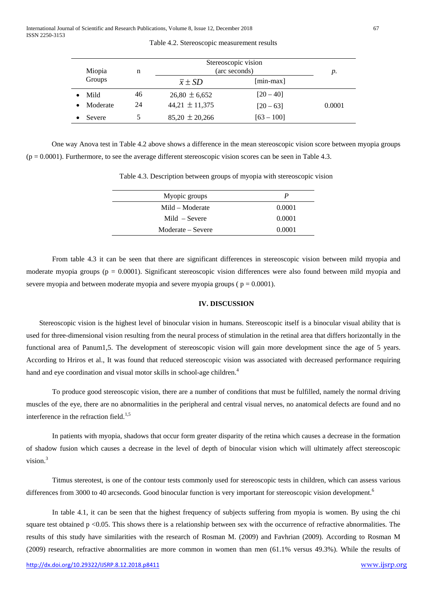| Miopia   | n  | Stereoscopic vision<br>(arc seconds) |              | р.     |
|----------|----|--------------------------------------|--------------|--------|
| Groups   |    | $\overline{x} \pm SD$                | $[min-max]$  |        |
| Mild     | 46 | $26,80 \pm 6,652$                    | $[20 - 40]$  |        |
| Moderate | 24 | 44,21 $\pm$ 11,375                   | $[20 - 63]$  | 0.0001 |
| Severe   |    | $85,20 \pm 20,266$                   | $[63 - 100]$ |        |

Table 4.2. Stereoscopic measurement results

One way Anova test in Table 4.2 above shows a difference in the mean stereoscopic vision score between myopia groups  $(p = 0.0001)$ . Furthermore, to see the average different stereoscopic vision scores can be seen in Table 4.3.

Table 4.3. Description between groups of myopia with stereoscopic vision

| Myopic groups     | P      |  |
|-------------------|--------|--|
| Mild – Moderate   | 0.0001 |  |
| $Mid - Severe$    | 0.0001 |  |
| Moderate – Severe | 0.0001 |  |

From table 4.3 it can be seen that there are significant differences in stereoscopic vision between mild myopia and moderate myopia groups ( $p = 0.0001$ ). Significant stereoscopic vision differences were also found between mild myopia and severe myopia and between moderate myopia and severe myopia groups ( $p = 0.0001$ ).

## **IV. DISCUSSION**

Stereoscopic vision is the highest level of binocular vision in humans. Stereoscopic itself is a binocular visual ability that is used for three-dimensional vision resulting from the neural process of stimulation in the retinal area that differs horizontally in the functional area of Panum1,5. The development of stereoscopic vision will gain more development since the age of 5 years. According to Hriros et al., It was found that reduced stereoscopic vision was associated with decreased performance requiring hand and eye coordination and visual motor skills in school-age children.<sup>4</sup>

To produce good stereoscopic vision, there are a number of conditions that must be fulfilled, namely the normal driving muscles of the eye, there are no abnormalities in the peripheral and central visual nerves, no anatomical defects are found and no interference in the refraction field.<sup>1,5</sup>

In patients with myopia, shadows that occur form greater disparity of the retina which causes a decrease in the formation of shadow fusion which causes a decrease in the level of depth of binocular vision which will ultimately affect stereoscopic vision. 3

Titmus stereotest, is one of the contour tests commonly used for stereoscopic tests in children, which can assess various differences from 3000 to 40 arcseconds. Good binocular function is very important for stereoscopic vision development.<sup>6</sup>

In table 4.1, it can be seen that the highest frequency of subjects suffering from myopia is women. By using the chi square test obtained p <0.05. This shows there is a relationship between sex with the occurrence of refractive abnormalities. The results of this study have similarities with the research of Rosman M. (2009) and Favhrian (2009). According to Rosman M (2009) research, refractive abnormalities are more common in women than men (61.1% versus 49.3%). While the results of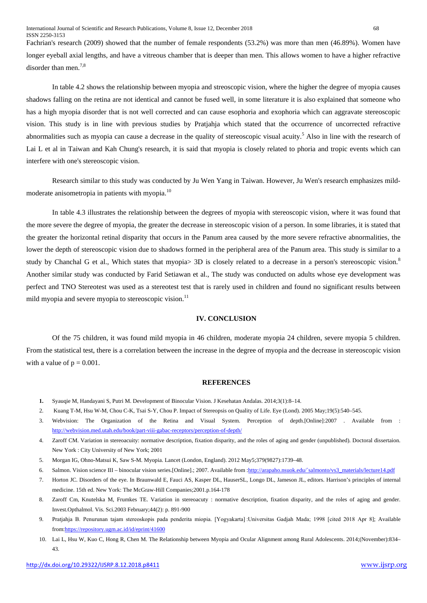Fachrian's research (2009) showed that the number of female respondents (53.2%) was more than men (46.89%). Women have longer eyeball axial lengths, and have a vitreous chamber that is deeper than men. This allows women to have a higher refractive disorder than men.<sup>7,8</sup>

In table 4.2 shows the relationship between myopia and streoscopic vision, where the higher the degree of myopia causes shadows falling on the retina are not identical and cannot be fused well, in some literature it is also explained that someone who has a high myopia disorder that is not well corrected and can cause esophoria and exophoria which can aggravate stereoscopic vision. This study is in line with previous studies by Pratjahja which stated that the occurrence of uncorrected refractive abnormalities such as myopia can cause a decrease in the quality of stereoscopic visual acuity.<sup>5</sup> Also in line with the research of Lai L et al in Taiwan and Kah Chung's research, it is said that myopia is closely related to phoria and tropic events which can interfere with one's stereoscopic vision.

Research similar to this study was conducted by Ju Wen Yang in Taiwan. However, Ju Wen's research emphasizes mildmoderate anisometropia in patients with myopia.<sup>10</sup>

In table 4.3 illustrates the relationship between the degrees of myopia with stereoscopic vision, where it was found that the more severe the degree of myopia, the greater the decrease in stereoscopic vision of a person. In some libraries, it is stated that the greater the horizontal retinal disparity that occurs in the Panum area caused by the more severe refractive abnormalities, the lower the depth of stereoscopic vision due to shadows formed in the peripheral area of the Panum area. This study is similar to a study by Chanchal G et al., Which states that myopia> 3D is closely related to a decrease in a person's stereoscopic vision.<sup>8</sup> Another similar study was conducted by Farid Setiawan et al., The study was conducted on adults whose eye development was perfect and TNO Stereotest was used as a stereotest test that is rarely used in children and found no significant results between mild myopia and severe myopia to stereoscopic vision.<sup>11</sup>

## **IV. CONCLUSION**

Of the 75 children, it was found mild myopia in 46 children, moderate myopia 24 children, severe myopia 5 children. From the statistical test, there is a correlation between the increase in the degree of myopia and the decrease in stereoscopic vision with a value of  $p = 0.001$ .

## **REFERENCES**

- **1.** Syauqie M, Handayani S, Putri M. Development of Binocular Vision. J Kesehatan Andalas. 2014;3(1):8–14.
- 2. Kuang T-M, Hsu W-M, Chou C-K, Tsai S-Y, Chou P. Impact of Stereopsis on Quality of Life. Eye (Lond). 2005 May;19(5):540–545.
- 3. Webvision: The Organization of the Retina and Visual System. Perception of depth.[Online]:2007 . Available from : <http://webvision.med.utah.edu/book/part-viii-gabac-receptors/perception-of-depth/>
- 4. Zaroff CM. Variation in stereoacuity: normative description, fixation disparity, and the roles of aging and gender (unpublished). Doctoral dissertaion. New York : City University of New York; 2001
- 5. Morgan IG, Ohno-Matsui K, Saw S-M. Myopia. Lancet (London, England). 2012 May5;379(9827):1739–48.
- 6. Salmon. Vision science III binocular vision series.[Online].; 2007. Available from [:http://arapaho.nsuok.edu/`salmonto/vs3\\_materials/lecture14.pdf](http://arapaho.nsuok.edu/%60salmonto/vs3_materials/lecture14.pdf)
- 7. Horton JC. Disorders of the eye. In Braunwald E, Fauci AS, Kasper DL, HauserSL, Longo DL, Jameson JL, editors. Harrison's principles of internal medicine. 15th ed. New York: The McGraw-Hill Companies;2001.p.164-178
- 8. Zaroff Cm, Knutelska M, Frumkes TE. Variation in stereoacuty : normative description, fixation disparity, and the roles of aging and gender. Invest.Opthalmol. Vis. Sci.2003 February;44(2): p. 891-900
- 9. Pratjahja B. Penurunan tajam stereoskopis pada penderita miopia. [Yogyakarta] :Universitas Gadjah Mada; 1998 [cited 2018 Apr 8]; Available fro[m:https://repository.ugm.ac.id/id/eprint/41600](https://repository.ugm.ac.id/id/eprint/41600)
- 10. Lai L, Hsu W, Kuo C, Hong R, Chen M. The Relationship between Myopia and Ocular Alignment among Rural Adolescents. 2014;(November):834– 43.